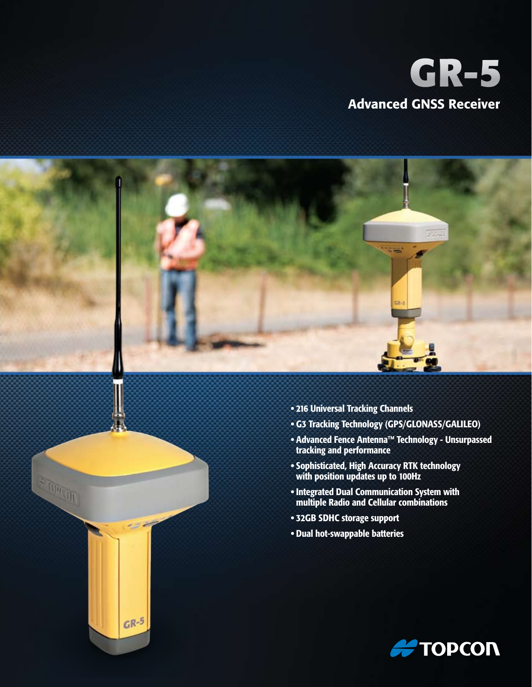# **GR-5** Advanced GNSS Receiver



ETONGON

 $GR-5$ 

- 216 Universal Tracking Channels
- • G3 Tracking Technology (GPS/GLONASS/GALILEO)
- • Advanced Fence Antenna™ Technology Unsurpassed tracking and performance
- • Sophisticated, High Accuracy RTK technology with position updates up to 100Hz
- • Integrated Dual Communication System with multiple Radio and Cellular combinations
- • 32GB SDHC storage support
- • Dual hot-swappable batteries

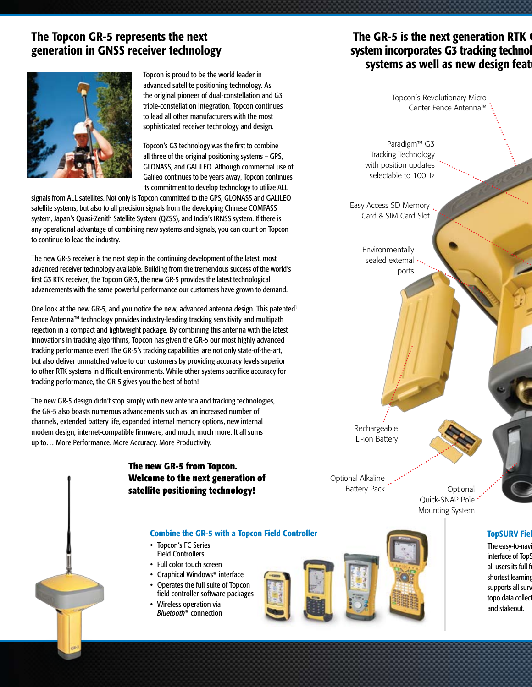# The Topcon GR-5 represents the next generation in GNSS receiver technology



Topcon is proud to be the world leader in advanced satellite positioning technology. As the original pioneer of dual-constellation and G3 triple-constellation integration, Topcon continues to lead all other manufacturers with the most sophisticated receiver technology and design.

Topcon's G3 technology was the first to combine all three of the original positioning systems – GPS, GLONASS, and GALILEO. Although commercial use of Galileo continues to be years away, Topcon continues its commitment to develop technology to utilize ALL

signals from ALL satellites. Not only is Topcon committed to the GPS, GLONASS and GALILEO satellite systems, but also to all precision signals from the developing Chinese COMPASS system, Japan's Quasi-Zenith Satellite System (QZSS), and India's IRNSS system. If there is any operational advantage of combining new systems and signals, you can count on Topcon to continue to lead the industry.

The new GR-5 receiver is the next step in the continuing development of the latest, most advanced receiver technology available. Building from the tremendous success of the world's first G3 RTK receiver, the Topcon GR-3, the new GR-5 provides the latest technological advancements with the same powerful performance our customers have grown to demand.

One look at the new GR-5, and you notice the new, advanced antenna design. This patented<sup>1</sup> Fence Antenna™ technology provides industry-leading tracking sensitivity and multipath rejection in a compact and lightweight package. By combining this antenna with the latest innovations in tracking algorithms, Topcon has given the GR-5 our most highly advanced tracking performance ever! The GR-5's tracking capabilities are not only state-of-the-art, but also deliver unmatched value to our customers by providing accuracy levels superior to other RTK systems in difficult environments. While other systems sacrifice accuracy for tracking performance, the GR-5 gives you the best of both!

The new GR-5 design didn't stop simply with new antenna and tracking technologies, the GR-5 also boasts numerous advancements such as: an increased number of channels, extended battery life, expanded internal memory options, new internal modem design, internet-compatible firmware, and much, much more. It all sums up to… More Performance. More Accuracy. More Productivity.

# **The new GR-5 from Topcon. Welcome to the next generation of satellite positioning technology!**

#### Combine the GR-5 with a Topcon Field Controller

- Topcon's FC Series Field Controllers
- Full color touch screen
- Graphical Windows<sup>®</sup> interface
- • Operates the full suite of Topcon field controller software packages
- Wireless operation via *Bluetooth®* connection



# The GR-5 is the next generation RTK  $\epsilon$ system incorporates G3 tracking technol systems as well as new design feat

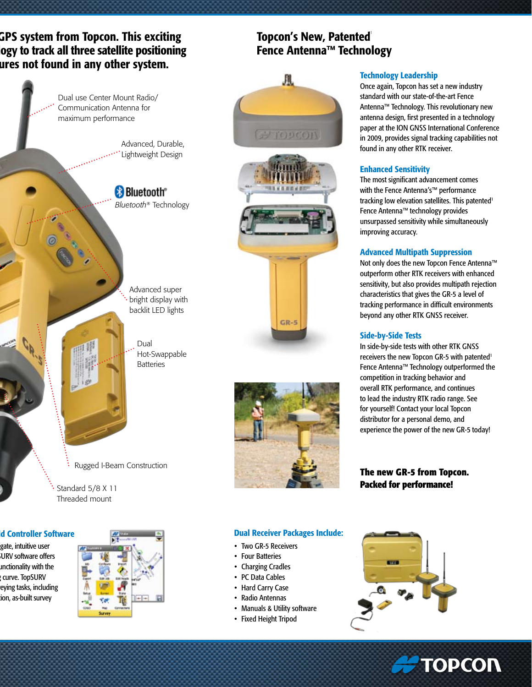GPS system from Topcon. This exciting ogy to track all three satellite positioning ures not found in any other system.

> Dual use Center Mount Radio/ Communication Antenna for maximum performance

> > Advanced, Durable, Lightweight Design

**Bluetooth**<sup>®</sup> *Bluetooth®* Technology

> Advanced super bright display with backlit LED lights

> > Dual Hot-Swappable **Batteries**

Rugged I-Beam Construction

Standard 5/8 X 11 Threaded mount

### d Controller Software

gate, intuitive user **iURV software offers** unctionality with the curve. TopSURV eying tasks, including ion, as-built survey









 $GR-5$ 

#### Technology Leadership

Once again, Topcon has set a new industry standard with our state-of-the-art Fence Antenna™ Technology. This revolutionary new antenna design, first presented in a technology paper at the ION GNSS International Conference in 2009, provides signal tracking capabilities not found in any other RTK receiver.

#### Enhanced Sensitivity

The most significant advancement comes with the Fence Antenna's™ performance tracking low elevation satellites. This patented<sup>1</sup> Fence Antenna™ technology provides unsurpassed sensitivity while simultaneously improving accuracy.

#### Advanced Multipath Suppression

Not only does the new Topcon Fence Antenna™ outperform other RTK receivers with enhanced sensitivity, but also provides multipath rejection characteristics that gives the GR-5 a level of tracking performance in difficult environments beyond any other RTK GNSS receiver.

#### Side-by-Side Tests

In side-by-side tests with other RTK GNSS receivers the new Topcon GR-5 with patented<sup>1</sup> Fence Antenna™ Technology outperformed the competition in tracking behavior and overall RTK performance, and continues to lead the industry RTK radio range. See for yourself! Contact your local Topcon distributor for a personal demo, and experience the power of the new GR-5 today!

**The new GR-5 from Topcon. Packed for performance!**

#### Dual Receiver Packages Include:

- Two GR-5 Receivers
- Four Batteries
- Charging Cradles
- PC Data Cables
- Hard Carry Case
- • Radio Antennas
- Manuals & Utility software
- Fixed Height Tripod



**A TOPCON**